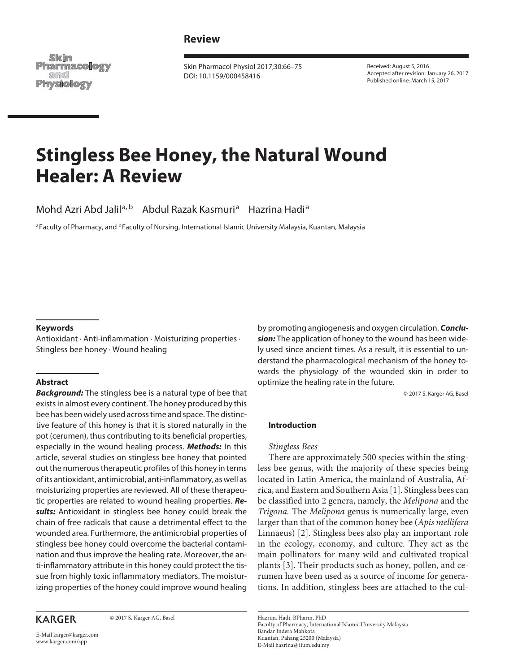## **Review**

Skim **Pharmacology** and **Physiology** 

 Skin Pharmacol Physiol 2017;30:66–75 DOI: 10.1159/000458416

 Received: August 5, 2016 Accepted after revision: January 26, 2017 Published online: March 15, 2017

# **Stingless Bee Honey, the Natural Wound Healer: A Review**

Mohd Azri Abd Jalil<sup>a, b</sup> Abdul Razak Kasmuri<sup>a</sup> Hazrina Hadi<sup>a</sup>

a Faculty of Pharmacy, and <sup>b</sup> Faculty of Nursing, International Islamic University Malaysia, Kuantan, Malaysia

#### **Keywords**

 Antioxidant · Anti-inflammation · Moisturizing properties · Stingless bee honey · Wound healing

#### **Abstract**

**Background:** The stingless bee is a natural type of bee that exists in almost every continent. The honey produced by this bee has been widely used across time and space. The distinctive feature of this honey is that it is stored naturally in the pot (cerumen), thus contributing to its beneficial properties, especially in the wound healing process. **Methods:** In this article, several studies on stingless bee honey that pointed out the numerous therapeutic profiles of this honey in terms of its antioxidant, antimicrobial, anti-inflammatory, as well as moisturizing properties are reviewed. All of these therapeutic properties are related to wound healing properties. **Results:** Antioxidant in stingless bee honey could break the chain of free radicals that cause a detrimental effect to the wounded area. Furthermore, the antimicrobial properties of stingless bee honey could overcome the bacterial contamination and thus improve the healing rate. Moreover, the anti-inflammatory attribute in this honey could protect the tissue from highly toxic inflammatory mediators. The moisturizing properties of the honey could improve wound healing

# **KARGER**

© 2017 S. Karger AG, Basel

by promoting angiogenesis and oxygen circulation. **Conclusion:** The application of honey to the wound has been widely used since ancient times. As a result, it is essential to understand the pharmacological mechanism of the honey towards the physiology of the wounded skin in order to optimize the healing rate in the future.

© 2017 S. Karger AG, Basel

#### **Introduction**

#### *Stingless Bees*

 There are approximately 500 species within the stingless bee genus, with the majority of these species being located in Latin America, the mainland of Australia, Africa, and Eastern and Southern Asia [1] . Stingless bees can be classified into 2 genera, namely, the *Melipona* and the *Trigona.* The *Melipona* genus is numerically large, even larger than that of the common honey bee ( *Apis mellifera*  Linnaeus) [2]. Stingless bees also play an important role in the ecology, economy, and culture. They act as the main pollinators for many wild and cultivated tropical plants [3]. Their products such as honey, pollen, and cerumen have been used as a source of income for generations. In addition, stingless bees are attached to the cul-

 Hazrina Hadi, BPharm, PhD Faculty of Pharmacy, International Islamic University Malaysia Bandar Indera Mahkota Kuantan, Pahang 25200 (Malaysia) E-Mail hazrina @ iium.edu.my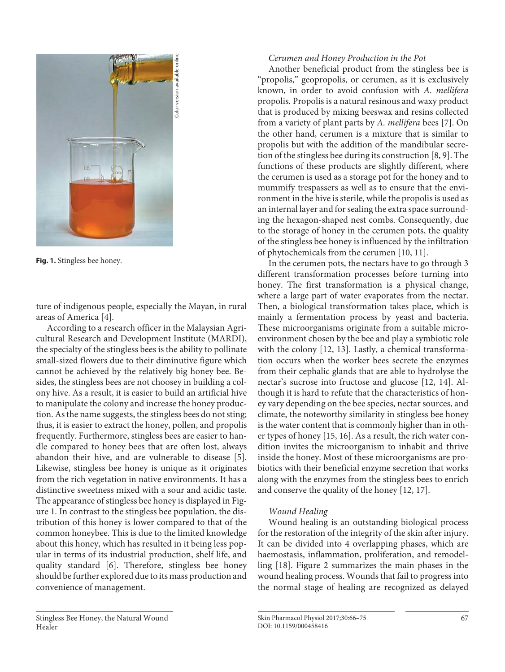

**Fig. 1.** Stingless bee honey.

ture of indigenous people, especially the Mayan, in rural areas of America [4].

 According to a research officer in the Malaysian Agricultural Research and Development Institute (MARDI), the specialty of the stingless bees is the ability to pollinate small-sized flowers due to their diminutive figure which cannot be achieved by the relatively big honey bee. Besides, the stingless bees are not choosey in building a colony hive. As a result, it is easier to build an artificial hive to manipulate the colony and increase the honey production. As the name suggests, the stingless bees do not sting; thus, it is easier to extract the honey, pollen, and propolis frequently. Furthermore, stingless bees are easier to handle compared to honey bees that are often lost, always abandon their hive, and are vulnerable to disease [5]. Likewise, stingless bee honey is unique as it originates from the rich vegetation in native environments. It has a distinctive sweetness mixed with a sour and acidic taste. The appearance of stingless bee honey is displayed in Figure 1. In contrast to the stingless bee population, the distribution of this honey is lower compared to that of the common honeybee. This is due to the limited knowledge about this honey, which has resulted in it being less popular in terms of its industrial production, shelf life, and quality standard [6]. Therefore, stingless bee honey should be further explored due to its mass production and convenience of management.

# *Cerumen and Honey Production in the Pot*

 Another beneficial product from the stingless bee is "propolis," geopropolis, or cerumen, as it is exclusively known, in order to avoid confusion with *A. mellifera*  propolis. Propolis is a natural resinous and waxy product that is produced by mixing beeswax and resins collected from a variety of plant parts by *A. mellifera* bees [7] . On the other hand, cerumen is a mixture that is similar to propolis but with the addition of the mandibular secretion of the stingless bee during its construction [8, 9] . The functions of these products are slightly different, where the cerumen is used as a storage pot for the honey and to mummify trespassers as well as to ensure that the environment in the hive is sterile, while the propolis is used as an internal layer and for sealing the extra space surrounding the hexagon-shaped nest combs. Consequently, due to the storage of honey in the cerumen pots, the quality of the stingless bee honey is influenced by the infiltration of phytochemicals from the cerumen [10, 11] .

 In the cerumen pots, the nectars have to go through 3 different transformation processes before turning into honey. The first transformation is a physical change, where a large part of water evaporates from the nectar. Then, a biological transformation takes place, which is mainly a fermentation process by yeast and bacteria. These microorganisms originate from a suitable microenvironment chosen by the bee and play a symbiotic role with the colony [12, 13]. Lastly, a chemical transformation occurs when the worker bees secrete the enzymes from their cephalic glands that are able to hydrolyse the nectar's sucrose into fructose and glucose [12, 14]. Although it is hard to refute that the characteristics of honey vary depending on the bee species, nectar sources, and climate, the noteworthy similarity in stingless bee honey is the water content that is commonly higher than in other types of honey [15, 16] . As a result, the rich water condition invites the microorganism to inhabit and thrive inside the honey. Most of these microorganisms are probiotics with their beneficial enzyme secretion that works along with the enzymes from the stingless bees to enrich and conserve the quality of the honey [12, 17] .

# *Wound Healing*

 Wound healing is an outstanding biological process for the restoration of the integrity of the skin after injury. It can be divided into 4 overlapping phases, which are haemostasis, inflammation, proliferation, and remodelling [18] . Figure 2 summarizes the main phases in the wound healing process. Wounds that fail to progress into the normal stage of healing are recognized as delayed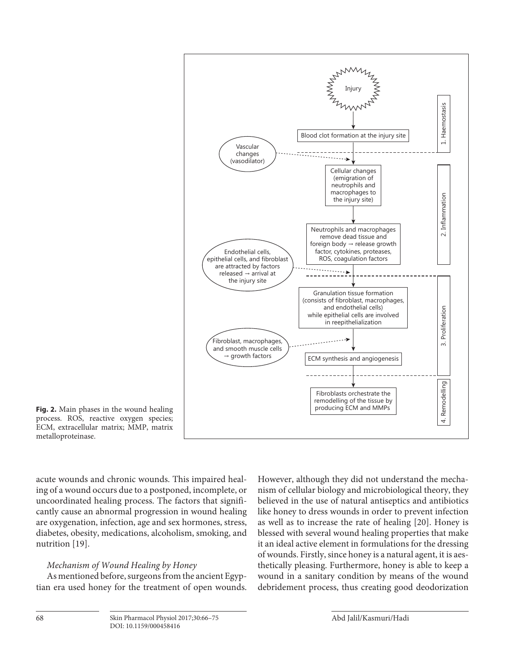

**Fig. 2.** Main phases in the wound healing process. ROS, reactive oxygen species; ECM, extracellular matrix; MMP, matrix metalloproteinase.

acute wounds and chronic wounds. This impaired healing of a wound occurs due to a postponed, incomplete, or uncoordinated healing process. The factors that significantly cause an abnormal progression in wound healing are oxygenation, infection, age and sex hormones, stress, diabetes, obesity, medications, alcoholism, smoking, and nutrition [19].

#### *Mechanism of Wound Healing by Honey*

 As mentioned before, surgeons from the ancient Egyptian era used honey for the treatment of open wounds. However, although they did not understand the mechanism of cellular biology and microbiological theory, they believed in the use of natural antiseptics and antibiotics like honey to dress wounds in order to prevent infection as well as to increase the rate of healing [20]. Honey is blessed with several wound healing properties that make it an ideal active element in formulations for the dressing of wounds. Firstly, since honey is a natural agent, it is aesthetically pleasing. Furthermore, honey is able to keep a wound in a sanitary condition by means of the wound debridement process, thus creating good deodorization

Skin Pharmacol Physiol 2017;30:66-75 Abd Jalil/Kasmuri/Hadi DOI: 10.1159/000458416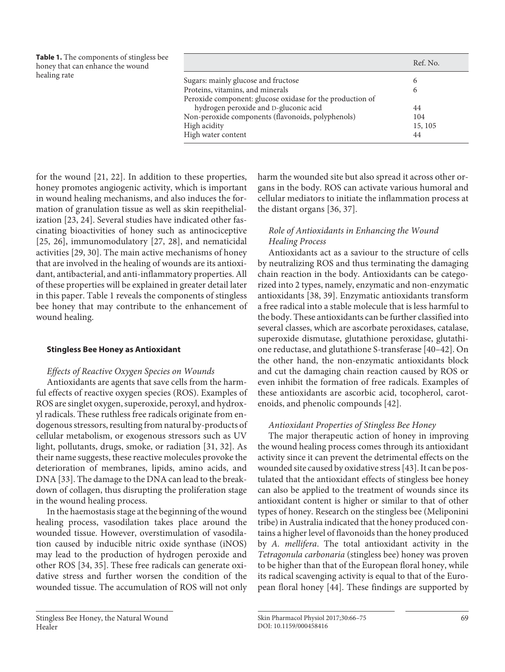| <b>Table 1.</b> The components of stingless bee<br>honey that can enhance the wound<br>healing rate |                                                           | Ref. No. |
|-----------------------------------------------------------------------------------------------------|-----------------------------------------------------------|----------|
|                                                                                                     | Sugars: mainly glucose and fructose                       | b        |
|                                                                                                     | Proteins, vitamins, and minerals                          | O        |
|                                                                                                     | Peroxide component: glucose oxidase for the production of |          |
|                                                                                                     | hydrogen peroxide and D-gluconic acid                     | 44       |
|                                                                                                     | Non-peroxide components (flavonoids, polyphenols)         | 104      |
|                                                                                                     | High acidity                                              | 15, 105  |
|                                                                                                     | High water content                                        | 44       |

for the wound  $[21, 22]$ . In addition to these properties, honey promotes angiogenic activity, which is important in wound healing mechanisms, and also induces the formation of granulation tissue as well as skin reepithelialization [23, 24]. Several studies have indicated other fascinating bioactivities of honey such as antinociceptive [25, 26], immunomodulatory  $[27, 28]$ , and nematicidal activities [29, 30]. The main active mechanisms of honey that are involved in the healing of wounds are its antioxidant, antibacterial, and anti-inflammatory properties. All of these properties will be explained in greater detail later in this paper. Table 1 reveals the components of stingless bee honey that may contribute to the enhancement of wound healing.

#### **Stingless Bee Honey as Antioxidant**

#### *Effects of Reactive Oxygen Species on Wounds*

 Antioxidants are agents that save cells from the harmful effects of reactive oxygen species (ROS). Examples of ROS are singlet oxygen, superoxide, peroxyl, and hydroxyl radicals. These ruthless free radicals originate from endogenous stressors, resulting from natural by-products of cellular metabolism, or exogenous stressors such as UV light, pollutants, drugs, smoke, or radiation [31, 32] . As their name suggests, these reactive molecules provoke the deterioration of membranes, lipids, amino acids, and DNA [33]. The damage to the DNA can lead to the breakdown of collagen, thus disrupting the proliferation stage in the wound healing process.

 In the haemostasis stage at the beginning of the wound healing process, vasodilation takes place around the wounded tissue. However, overstimulation of vasodilation caused by inducible nitric oxide synthase (iNOS) may lead to the production of hydrogen peroxide and other ROS [34, 35]. These free radicals can generate oxidative stress and further worsen the condition of the wounded tissue. The accumulation of ROS will not only harm the wounded site but also spread it across other organs in the body. ROS can activate various humoral and cellular mediators to initiate the inflammation process at the distant organs [36, 37] .

#### *Role of Antioxidants in Enhancing the Wound Healing Process*

 Antioxidants act as a saviour to the structure of cells by neutralizing ROS and thus terminating the damaging chain reaction in the body. Antioxidants can be categorized into 2 types, namely, enzymatic and non-enzymatic antioxidants [38, 39] . Enzymatic antioxidants transform a free radical into a stable molecule that is less harmful to the body. These antioxidants can be further classified into several classes, which are ascorbate peroxidases, catalase, superoxide dismutase, glutathione peroxidase, glutathione reductase, and glutathione S-transferase [40–42] . On the other hand, the non-enzymatic antioxidants block and cut the damaging chain reaction caused by ROS or even inhibit the formation of free radicals. Examples of these antioxidants are ascorbic acid, tocopherol, carotenoids, and phenolic compounds [42] .

#### *Antioxidant Properties of Stingless Bee Honey*

 The major therapeutic action of honey in improving the wound healing process comes through its antioxidant activity since it can prevent the detrimental effects on the wounded site caused by oxidative stress [43] . It can be postulated that the antioxidant effects of stingless bee honey can also be applied to the treatment of wounds since its antioxidant content is higher or similar to that of other types of honey. Research on the stingless bee (Meliponini tribe) in Australia indicated that the honey produced contains a higher level of flavonoids than the honey produced by *A. mellifera*. The total antioxidant activity in the *Tetragonula carbonaria* (stingless bee) honey was proven to be higher than that of the European floral honey, while its radical scavenging activity is equal to that of the European floral honey [44]. These findings are supported by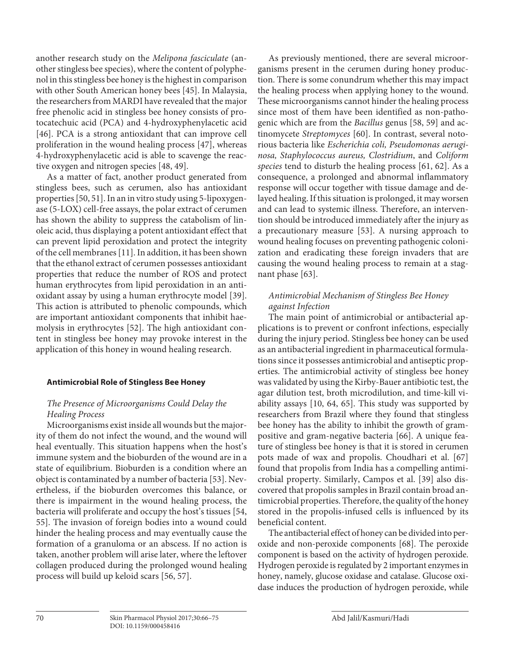another research study on the *Melipona fasciculate* (another stingless bee species), where the content of polyphenol in this stingless bee honey is the highest in comparison with other South American honey bees [45]. In Malaysia, the researchers from MARDI have revealed that the major free phenolic acid in stingless bee honey consists of protocatechuic acid (PCA) and 4-hydroxyphenylacetic acid [46]. PCA is a strong antioxidant that can improve cell proliferation in the wound healing process [47], whereas 4-hydroxyphenylacetic acid is able to scavenge the reactive oxygen and nitrogen species [48, 49] .

 As a matter of fact, another product generated from stingless bees, such as cerumen, also has antioxidant properties [50, 51] . In an in vitro study using 5-lipoxygenase (5-LOX) cell-free assays, the polar extract of cerumen has shown the ability to suppress the catabolism of linoleic acid, thus displaying a potent antioxidant effect that can prevent lipid peroxidation and protect the integrity of the cell membranes [11] . In addition, it has been shown that the ethanol extract of cerumen possesses antioxidant properties that reduce the number of ROS and protect human erythrocytes from lipid peroxidation in an antioxidant assay by using a human erythrocyte model [39] . This action is attributed to phenolic compounds, which are important antioxidant components that inhibit haemolysis in erythrocytes [52]. The high antioxidant content in stingless bee honey may provoke interest in the application of this honey in wound healing research.

## **Antimicrobial Role of Stingless Bee Honey**

## *The Presence of Microorganisms Could Delay the Healing Process*

 Microorganisms exist inside all wounds but the majority of them do not infect the wound, and the wound will heal eventually. This situation happens when the host's immune system and the bioburden of the wound are in a state of equilibrium. Bioburden is a condition where an object is contaminated by a number of bacteria [53] . Nevertheless, if the bioburden overcomes this balance, or there is impairment in the wound healing process, the bacteria will proliferate and occupy the host's tissues [54, 55]. The invasion of foreign bodies into a wound could hinder the healing process and may eventually cause the formation of a granuloma or an abscess. If no action is taken, another problem will arise later, where the leftover collagen produced during the prolonged wound healing process will build up keloid scars [56, 57] .

 As previously mentioned, there are several microorganisms present in the cerumen during honey production. There is some conundrum whether this may impact the healing process when applying honey to the wound. These microorganisms cannot hinder the healing process since most of them have been identified as non-pathogenic which are from the *Bacillus* genus [58, 59] and actinomycete *Streptomyces* [60]. In contrast, several notorious bacteria like *Escherichia coli, Pseudomonas aeruginosa, Staphylococcus aureus, Clostridium* , and *Coliform*  species tend to disturb the healing process [61, 62]. As a consequence, a prolonged and abnormal inflammatory response will occur together with tissue damage and delayed healing. If this situation is prolonged, it may worsen and can lead to systemic illness. Therefore, an intervention should be introduced immediately after the injury as a precautionary measure [53]. A nursing approach to wound healing focuses on preventing pathogenic colonization and eradicating these foreign invaders that are causing the wound healing process to remain at a stagnant phase [63].

## *Antimicrobial Mechanism of Stingless Bee Honey against Infection*

 The main point of antimicrobial or antibacterial applications is to prevent or confront infections, especially during the injury period. Stingless bee honey can be used as an antibacterial ingredient in pharmaceutical formulations since it possesses antimicrobial and antiseptic properties. The antimicrobial activity of stingless bee honey was validated by using the Kirby-Bauer antibiotic test, the agar dilution test, broth microdilution, and time-kill viability assays [10, 64, 65]. This study was supported by researchers from Brazil where they found that stingless bee honey has the ability to inhibit the growth of grampositive and gram-negative bacteria [66] . A unique feature of stingless bee honey is that it is stored in cerumen pots made of wax and propolis. Choudhari et al. [67] found that propolis from India has a compelling antimicrobial property. Similarly, Campos et al. [39] also discovered that propolis samples in Brazil contain broad antimicrobial properties. Therefore, the quality of the honey stored in the propolis-infused cells is influenced by its beneficial content.

 The antibacterial effect of honey can be divided into peroxide and non-peroxide components [68] . The peroxide component is based on the activity of hydrogen peroxide. Hydrogen peroxide is regulated by 2 important enzymes in honey, namely, glucose oxidase and catalase. Glucose oxidase induces the production of hydrogen peroxide, while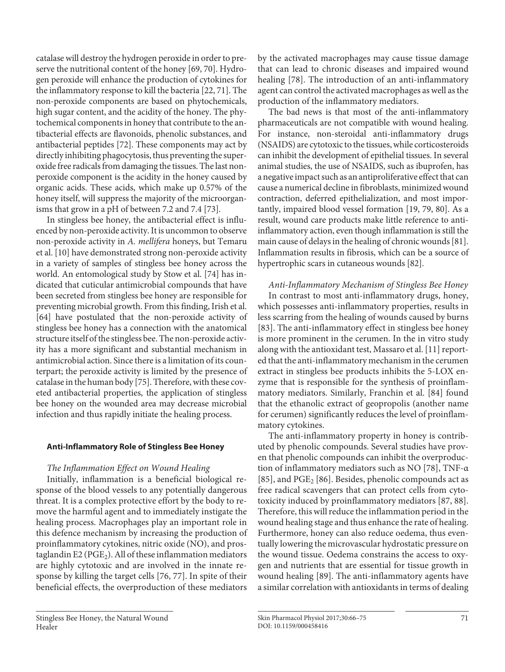catalase will destroy the hydrogen peroxide in order to preserve the nutritional content of the honey [69, 70]. Hydrogen peroxide will enhance the production of cytokines for the inflammatory response to kill the bacteria [22, 71] . The non-peroxide components are based on phytochemicals, high sugar content, and the acidity of the honey. The phytochemical components in honey that contribute to the antibacterial effects are flavonoids, phenolic substances, and antibacterial peptides [72]. These components may act by directly inhibiting phagocytosis, thus preventing the superoxide free radicals from damaging the tissues. The last nonperoxide component is the acidity in the honey caused by organic acids. These acids, which make up 0.57% of the honey itself, will suppress the majority of the microorganisms that grow in a pH of between 7.2 and 7.4 [73].

 In stingless bee honey, the antibacterial effect is influenced by non-peroxide activity. It is uncommon to observe non-peroxide activity in *A. mellifera* honeys, but Temaru et al. [10] have demonstrated strong non-peroxide activity in a variety of samples of stingless bee honey across the world. An entomological study by Stow et al. [74] has indicated that cuticular antimicrobial compounds that have been secreted from stingless bee honey are responsible for preventing microbial growth. From this finding, Irish et al. [64] have postulated that the non-peroxide activity of stingless bee honey has a connection with the anatomical structure itself of the stingless bee. The non-peroxide activity has a more significant and substantial mechanism in antimicrobial action. Since there is a limitation of its counterpart; the peroxide activity is limited by the presence of catalase in the human body [75] . Therefore, with these coveted antibacterial properties, the application of stingless bee honey on the wounded area may decrease microbial infection and thus rapidly initiate the healing process.

## **Anti-Inflammatory Role of Stingless Bee Honey**

#### *The Inflammation Effect on Wound Healing*

 Initially, inflammation is a beneficial biological response of the blood vessels to any potentially dangerous threat. It is a complex protective effort by the body to remove the harmful agent and to immediately instigate the healing process. Macrophages play an important role in this defence mechanism by increasing the production of proinflammatory cytokines, nitric oxide (NO), and prostaglandin E2 ( $PGE_2$ ). All of these inflammation mediators are highly cytotoxic and are involved in the innate response by killing the target cells [76, 77] . In spite of their beneficial effects, the overproduction of these mediators

by the activated macrophages may cause tissue damage that can lead to chronic diseases and impaired wound healing [78]. The introduction of an anti-inflammatory agent can control the activated macrophages as well as the production of the inflammatory mediators.

 The bad news is that most of the anti-inflammatory pharmaceuticals are not compatible with wound healing. For instance, non-steroidal anti-inflammatory drugs (NSAIDS) are cytotoxic to the tissues, while corticosteroids can inhibit the development of epithelial tissues. In several animal studies, the use of NSAIDS, such as ibuprofen, has a negative impact such as an antiproliferative effect that can cause a numerical decline in fibroblasts, minimized wound contraction, deferred epithelialization, and most importantly, impaired blood vessel formation [19, 79, 80]. As a result, wound care products make little reference to antiinflammatory action, even though inflammation is still the main cause of delays in the healing of chronic wounds [81] . Inflammation results in fibrosis, which can be a source of hypertrophic scars in cutaneous wounds [82] .

 *Anti-Inflammatory Mechanism of Stingless Bee Honey*  In contrast to most anti-inflammatory drugs, honey, which possesses anti-inflammatory properties, results in less scarring from the healing of wounds caused by burns [83]. The anti-inflammatory effect in stingless bee honey is more prominent in the cerumen. In the in vitro study along with the antioxidant test, Massaro et al. [11] reported that the anti-inflammatory mechanism in the cerumen extract in stingless bee products inhibits the 5-LOX enzyme that is responsible for the synthesis of proinflammatory mediators. Similarly, Franchin et al. [84] found that the ethanolic extract of geopropolis (another name for cerumen) significantly reduces the level of proinflammatory cytokines.

 The anti-inflammatory property in honey is contributed by phenolic compounds. Several studies have proven that phenolic compounds can inhibit the overproduction of inflammatory mediators such as NO [78], TNF-α [85], and  $PGE_2$  [86]. Besides, phenolic compounds act as free radical scavengers that can protect cells from cytotoxicity induced by proinflammatory mediators [87, 88] . Therefore, this will reduce the inflammation period in the wound healing stage and thus enhance the rate of healing. Furthermore, honey can also reduce oedema, thus eventually lowering the microvascular hydrostatic pressure on the wound tissue. Oedema constrains the access to oxygen and nutrients that are essential for tissue growth in wound healing [89]. The anti-inflammatory agents have a similar correlation with antioxidants in terms of dealing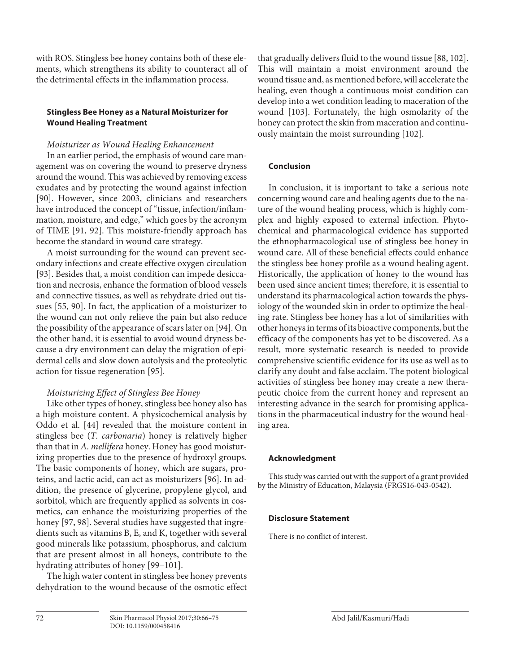with ROS. Stingless bee honey contains both of these elements, which strengthens its ability to counteract all of the detrimental effects in the inflammation process.

## **Stingless Bee Honey as a Natural Moisturizer for Wound Healing Treatment**

## *Moisturizer as Wound Healing Enhancement*

 In an earlier period, the emphasis of wound care management was on covering the wound to preserve dryness around the wound. This was achieved by removing excess exudates and by protecting the wound against infection [90]. However, since 2003, clinicians and researchers have introduced the concept of "tissue, infection/inflammation, moisture, and edge," which goes by the acronym of TIME [91, 92]. This moisture-friendly approach has become the standard in wound care strategy.

 A moist surrounding for the wound can prevent secondary infections and create effective oxygen circulation [93]. Besides that, a moist condition can impede desiccation and necrosis, enhance the formation of blood vessels and connective tissues, as well as rehydrate dried out tissues [55, 90]. In fact, the application of a moisturizer to the wound can not only relieve the pain but also reduce the possibility of the appearance of scars later on [94] . On the other hand, it is essential to avoid wound dryness because a dry environment can delay the migration of epidermal cells and slow down autolysis and the proteolytic action for tissue regeneration [95] .

# *Moisturizing Effect of Stingless Bee Honey*

 Like other types of honey, stingless bee honey also has a high moisture content. A physicochemical analysis by Oddo et al. [44] revealed that the moisture content in stingless bee (*T. carbonaria*) honey is relatively higher than that in *A. mellifera* honey. Honey has good moisturizing properties due to the presence of hydroxyl groups. The basic components of honey, which are sugars, proteins, and lactic acid, can act as moisturizers [96] . In addition, the presence of glycerine, propylene glycol, and sorbitol, which are frequently applied as solvents in cosmetics, can enhance the moisturizing properties of the honey [97, 98]. Several studies have suggested that ingredients such as vitamins B, E, and K, together with several good minerals like potassium, phosphorus, and calcium that are present almost in all honeys, contribute to the hydrating attributes of honey [99-101].

 The high water content in stingless bee honey prevents dehydration to the wound because of the osmotic effect that gradually delivers fluid to the wound tissue [88, 102] . This will maintain a moist environment around the wound tissue and, as mentioned before, will accelerate the healing, even though a continuous moist condition can develop into a wet condition leading to maceration of the wound [103]. Fortunately, the high osmolarity of the honey can protect the skin from maceration and continuously maintain the moist surrounding [102] .

## **Conclusion**

 In conclusion, it is important to take a serious note concerning wound care and healing agents due to the nature of the wound healing process, which is highly complex and highly exposed to external infection. Phytochemical and pharmacological evidence has supported the ethnopharmacological use of stingless bee honey in wound care. All of these beneficial effects could enhance the stingless bee honey profile as a wound healing agent. Historically, the application of honey to the wound has been used since ancient times; therefore, it is essential to understand its pharmacological action towards the physiology of the wounded skin in order to optimize the healing rate. Stingless bee honey has a lot of similarities with other honeys in terms of its bioactive components, but the efficacy of the components has yet to be discovered. As a result, more systematic research is needed to provide comprehensive scientific evidence for its use as well as to clarify any doubt and false acclaim. The potent biological activities of stingless bee honey may create a new therapeutic choice from the current honey and represent an interesting advance in the search for promising applications in the pharmaceutical industry for the wound healing area.

## **Acknowledgment**

 This study was carried out with the support of a grant provided by the Ministry of Education, Malaysia (FRGS16-043-0542).

## **Disclosure Statement**

There is no conflict of interest.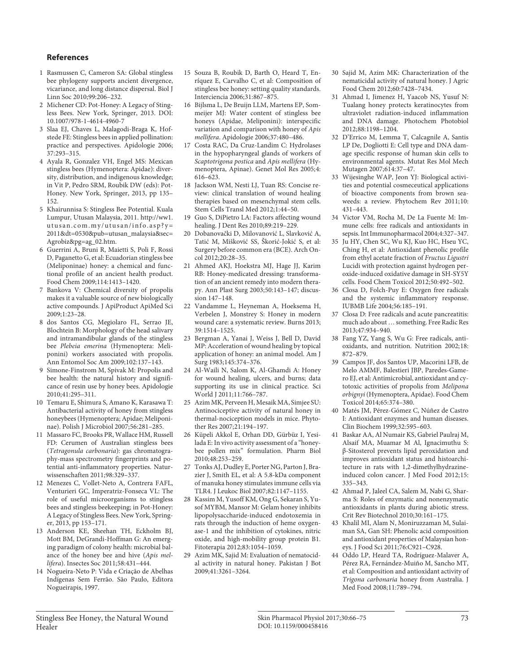#### **References**

- 1 Rasmussen C, Cameron SA: Global stingless bee phylogeny supports ancient divergence, vicariance, and long distance dispersal. Biol J Linn Soc 2010;99:206–232.
- 2 Michener CD: Pot-Honey: A Legacy of Stingless Bees. New York, Springer, 2013. DOI: 10.1007/978-1-4614-4960-7
- 3 Slaa EJ, Chaves L, Malagodi-Braga K, Hofstede FE: Stingless bees in applied pollination: practice and perspectives. Apidologie 2006; 37:293–315.
- 4 Ayala R, Gonzalez VH, Engel MS: Mexican stingless bees (Hymenoptera: Apidae): diversity, distribution, and indigenous knowledge; in Vit P, Pedro SRM, Roubik DW (eds): Pot-Honey. New York, Springer, 2013, pp 135– 152.
- 5 Khairunnisa S: Stingless Bee Potential. Kuala Lumpur, Utusan Malaysia, 2011. http://ww1. utusan.com.my/utusan/info.asp?y= 2011&dt=0530&pub=utusan\_malaysia&sec= Agrobiz&pg=ag\_02.htm.
- 6 Guerrini A, Bruni R, Maietti S, Poli F, Rossi D, Paganetto G, et al: Ecuadorian stingless bee (Meliponinae) honey: a chemical and functional profile of an ancient health product. Food Chem 2009;114:1413–1420.
- 7 Bankova V: Chemical diversity of propolis makes it a valuable source of new biologically active compounds. J ApiProduct ApiMed Sci 2009;1:23–28.
- 8 dos Santos CG, Megiolaro FL, Serrao JE, Blochtein B: Morphology of the head salivary and intramandibular glands of the stingless bee *Plebeia emerina* (Hymenoptera: Meliponini) workers associated with propolis. Ann Entomol Soc Am 2009;102:137–143.
- 9 Simone-Finstrom M, Spivak M: Propolis and bee health: the natural history and significance of resin use by honey bees. Apidologie 2010;41:295–311.
- 10 Temaru E, Shimura S, Amano K, Karasawa T: Antibacterial activity of honey from stingless honeybees (Hymenoptera; Apidae; Meliponinae). Polish J Microbiol 2007;56:281–285.
- 11 Massaro FC, Brooks PR, Wallace HM, Russell FD: Cerumen of Australian stingless bees ( *Tetragonula carbonaria* ): gas chromatography-mass spectrometry fingerprints and potential anti-inflammatory properties. Naturwissenschaften 2011;98:329–337.
- 12 Menezes C, Vollet-Neto A, Contrera FAFL, Venturieri GC, Imperatriz-Fonseca VL: The role of useful microorganisms to stingless bees and stingless beekeeping; in Pot-Honey: A Legacy of Stingless Bees. New York, Springer, 2013, pp 153–171.
- 13 Anderson KE, Sheehan TH, Eckholm BJ, Mott BM, DeGrandi-Hoffman G: An emerging paradigm of colony health: microbial balance of the honey bee and hive ( *Apis mellifera* ). Insectes Soc 2011;58:431–444.
- 14 Nogueira-Neto P: Vida e Criação de Abelhas Indígenas Sem Ferrão. São Paulo, Editora Nogueirapis, 1997.
- 15 Souza B, Roubik D, Barth O, Heard T, Enríquez E, Carvalho C, et al: Composition of stingless bee honey: setting quality standards. Interciencia 2006;31:867–875.
- 16 Bijlsma L, De Bruijn LLM, Martens EP, Sommeijer MJ: Water content of stingless bee honeys (Apidae, Meliponini): interspecific variation and comparison with honey of *Apis mellifera* . Apidologie 2006;37:480–486.
- 17 Costa RAC, Da Cruz-Landim C: Hydrolases in the hypopharyngeal glands of workers of *Scaptotrigona postica* and *Apis mellifera* (Hymenoptera, Apinae). Genet Mol Res 2005;4: 616–623.
- 18 Jackson WM, Nesti LJ, Tuan RS: Concise review: clinical translation of wound healing therapies based on mesenchymal stem cells. Stem Cells Transl Med 2012;1:44–50.
- 19 Guo S, DiPietro LA: Factors affecting wound healing. J Dent Res 2010;89:219–229.
- 20 Dobanovački D, Milovanović L, Slavković A, Tatić M, Mišković SS, Škorić-Jokić S, et al: Surgery before common era (BCE). Arch Oncol 2012;20:28–35.
- 21 Ahmed AKJ, Hoekstra MJ, Hage JJ, Karim RB: Honey-medicated dressing: transformation of an ancient remedy into modern therapy. Ann Plast Surg 2003;50:143–147; discussion 147–148.
- 22 Vandamme L, Heyneman A, Hoeksema H, Verbelen J, Monstrey S: Honey in modern wound care: a systematic review. Burns 2013; 39:1514–1525.
- 23 Bergman A, Yanai J, Weiss J, Bell D, David MP: Acceleration of wound healing by topical application of honey: an animal model. Am J Surg 1983;145:374–376.
- 24 Al-Waili N, Salom K, Al-Ghamdi A: Honey for wound healing, ulcers, and burns; data supporting its use in clinical practice. Sci World J 2011;11:766-787.
- 25 Azim MK, Perveen H, Mesaik MA, Simjee SU: Antinociceptive activity of natural honey in thermal-nociception models in mice. Phytother Res 2007;21:194–197.
- 26 Küpeli Akkol E, Orhan DD, Gürbüz I, Yesilada E: In vivo activity assessment of a "honeybee pollen mix" formulation. Pharm Biol 2010;48:253–259.
- 27 Tonks AJ, Dudley E, Porter NG, Parton J, Brazier J, Smith EL, et al: A 5.8-kDa component of manuka honey stimulates immune cells via TLR4. J Leukoc Biol 2007;82:1147–1155.
- 28 Kassim M, Yusoff KM, Ong G, Sekaran S, Yusof MYBM, Mansor M: Gelam honey inhibits lipopolysaccharide-induced endotoxemia in rats through the induction of heme oxygenase-1 and the inhibition of cytokines, nitric oxide, and high-mobility group protein B1. Fitoterapia 2012;83:1054–1059.
- 29 Azim MK, Sajid M: Evaluation of nematocidal activity in natural honey. Pakistan J Bot 2009;41:3261–3264.
- 30 Sajid M, Azim MK: Characterization of the nematicidal activity of natural honey. J Agric Food Chem 2012;60:7428–7434.
- 31 Ahmad I, Jimenez H, Yaacob NS, Yusuf N: Tualang honey protects keratinocytes from ultraviolet radiation-induced inflammation and DNA damage. Photochem Photobiol 2012;88:1198–1204.
- 32 D'Errico M, Lemma T, Calcagnile A, Santis LP De, Dogliotti E: Cell type and DNA damage specific response of human skin cells to environmental agents. Mutat Res Mol Mech Mutagen 2007;614:37–47.
- 33 Wijesinghe WAP, Jeon YJ: Biological activities and potential cosmeceutical applications of bioactive components from brown seaweeds: a review. Phytochem Rev 2011;10: 431–443.
- 34 Victor VM, Rocha M, De La Fuente M: Immune cells: free radicals and antioxidants in sepsis. Int Immunopharmacol 2004;4:327–347.
- 35 Ju HY, Chen SC, Wu KJ, Kuo HC, Hseu YC, Ching H, et al: Antioxidant phenolic profile from ethyl acetate fraction of *Fructus Ligustri* Lucidi with protection against hydrogen peroxide-induced oxidative damage in SH-SY5Y cells. Food Chem Toxicol 2012;50:492–502.
- 36 Closa D, Folch-Puy E: Oxygen free radicals and the systemic inflammatory response. IUBMB Life 2004;56:185–191.
- 37 Closa D: Free radicals and acute pancreatitis: much ado about … something. Free Radic Res 2013;47:934–940.
- 38 Fang YZ, Yang S, Wu G: Free radicals, antioxidants, and nutrition. Nutrition 2002;18: 872–879.
- 39 Campos JF, dos Santos UP, Macorini LFB, de Melo AMMF, Balestieri JBP, Paredes-Gamero EJ, et al: Antimicrobial, antioxidant and cytotoxic activities of propolis from *Melipona orbignyi* (Hymenoptera, Apidae). Food Chem Toxicol 2014;65:374–380.
- 40 Matés JM, Pérez-Gómez C, Núñez de Castro I: Antioxidant enzymes and human diseases. Clin Biochem 1999;32:595–603.
- 41 Baskar AA, Al Numair KS, Gabriel Paulraj M, Alsaif MA, Muamar M Al, Ignacimuthu S: β-Sitosterol prevents lipid peroxidation and improves antioxidant status and histoarchitecture in rats with 1,2-dimethylhydrazineinduced colon cancer. J Med Food 2012;15: 335–343.
- 42 Ahmad P, Jaleel CA, Salem M, Nabi G, Sharma S: Roles of enzymatic and nonenzymatic antioxidants in plants during abiotic stress. Crit Rev Biotechnol 2010;30:161–175.
- 43 Khalil MI, Alam N, Moniruzzaman M, Sulaiman SA, Gan SH: Phenolic acid composition and antioxidant properties of Malaysian honeys. J Food Sci 2011;76:C921–C928.
- 44 Oddo LP, Heard TA, Rodríguez-Malaver A, Pérez RA, Fernández-Muiño M, Sancho MT, et al: Composition and antioxidant activity of *Trigona carbonaria* honey from Australia. J Med Food 2008;11:789–794.

 Stingless Bee Honey, the Natural Wound Healer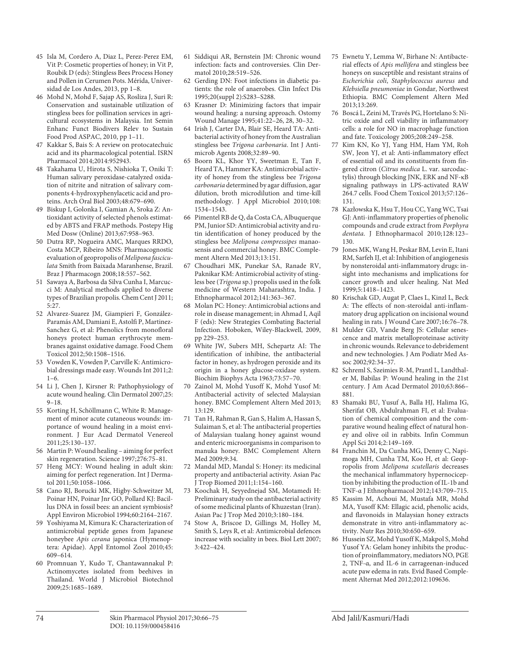- 45 Isla M, Cordero A, Diaz L, Perez-Perez EM, Vit P: Cosmetic properties of honey; in Vit P, Roubik D (eds): Stingless Bees Process Honey and Pollen in Cerumen Pots. Mérida, Universidad de Los Andes, 2013, pp 1–8.
- 46 Mohd N, Mohd F, Sajap AS, Rosliza J, Suri R: Conservation and sustainable utilization of stingless bees for pollination services in agricultural ecosystems in Malaysia. Int Semin Enhanc Funct Biodivers Relev to Sustain Food Prod ASPAC, 2010, pp 1–11.
- 47 Kakkar S, Bais S: A review on protocatechuic acid and its pharmacological potential. ISRN Pharmacol 2014;2014:952943.
- 48 Takahama U, Hirota S, Nishioka T, Oniki T: Human salivary peroxidase-catalyzed oxidation of nitrite and nitration of salivary components 4-hydroxyphenylacetic acid and proteins. Arch Oral Biol 2003;48:679–690.
- 49 Biskup I, Golonka I, Gamian A, Sroka Z: Antioxidant activity of selected phenols estimated by ABTS and FRAP methods. Postepy Hig Med Dosw (Online) 2013;67:958–963.
- 50 Dutra RP, Nogueira AMC, Marques RRDO, Costa MCP, Ribeiro MNS: Pharmacognostic evaluation of geopropolis of *Melipona fasciculata* Smith from Baixada Maranhense, Brazil. Braz J Pharmacogn 2008;18:557–562.
- 51 Sawaya A, Barbosa da Silva Cunha I, Marcucci M: Analytical methods applied to diverse types of Brazilian propolis. Chem Cent J 2011; 5:27.
- 52 Alvarez-Suarez JM, Giampieri F, González-Paramás AM, Damiani E, Astolfi P, Martinez-Sanchez G, et al: Phenolics from monofloral honeys protect human erythrocyte membranes against oxidative damage. Food Chem Toxicol 2012;50:1508–1516.
- 53 Vowden K, Vowden P, Carville K: Antimicrobial dressings made easy. Wounds Int 2011;2:  $1-6$ .
- 54 Li J, Chen J, Kirsner R: Pathophysiology of acute wound healing. Clin Dermatol 2007;25: 9–18.
- 55 Korting H, Schöllmann C, White R: Management of minor acute cutaneous wounds: importance of wound healing in a moist environment. J Eur Acad Dermatol Venereol 2011;25:130–137.
- 56 Martin P: Wound healing aiming for perfect skin regeneration. Science 1997;276:75–81.
- 57 Heng MCY: Wound healing in adult skin: aiming for perfect regeneration. Int J Dermatol 2011;50:1058–1066.
- 58 Cano RJ, Borucki MK, Higby-Schweitzer M, Poinar HN, Poinar Jnr GO, Pollard KJ: Bacillus DNA in fossil bees: an ancient symbiosis? Appl Environ Microbiol 1994;60:2164–2167.
- 59 Yoshiyama M, Kimura K: Characterization of antimicrobial peptide genes from Japanese honeybee *Apis cerana* japonica (Hymenoptera: Apidae). Appl Entomol Zool 2010;45: 609–614.
- 60 Promnuan Y, Kudo T, Chantawannakul P: Actinomycetes isolated from beehives in Thailand. World J Microbiol Biotechnol 2009;25:1685–1689.
- 61 Siddiqui AR, Bernstein JM: Chronic wound infection: facts and controversies. Clin Dermatol 2010;28:519–526.
- 62 Gerding DN: Foot infections in diabetic patients: the role of anaerobes. Clin Infect Dis 1995;20(suppl 2):S283–S288.
- Krasner D: Minimizing factors that impair wound healing: a nursing approach. Ostomy Wound Manage 1995;41:22–26, 28, 30–32.
- 64 Irish J, Carter DA, Blair SE, Heard TA: Antibacterial activity of honey from the Australian stingless bee *Trigona carbonaria* . Int J Antimicrob Agents 2008;32:89–90.
- 65 Boorn KL, Khor YY, Sweetman E, Tan F, Heard TA, Hammer KA: Antimicrobial activity of honey from the stingless bee *Trigona carbonaria* determined by agar diffusion, agar dilution, broth microdilution and time-kill methodology. J Appl Microbiol 2010;108: 1534–1543.
- 66 Pimentel RB de Q, da Costa CA, Albuquerque PM, Junior SD: Antimicrobial activity and rutin identification of honey produced by the stingless bee *Melipona compressipes* manaosensis and commercial honey. BMC Complement Altern Med 2013;13:151.
- 67 Choudhari MK, Punekar SA, Ranade RV, Paknikar KM: Antimicrobial activity of stingless bee ( *Trigona* sp.) propolis used in the folk medicine of Western Maharashtra, India. J Ethnopharmacol 2012;141:363–367.
- 68 Molan PC: Honey: Antimicrobial actions and role in disease management; in Ahmad I, Aqil F (eds): New Strategies Combating Bacterial Infection. Hoboken, Wiley-Blackwell, 2009, pp 229–253.
- 69 White JW, Subers MH, Schepartz AI: The identification of inhibine, the antibacterial factor in honey, as hydrogen peroxide and its origin in a honey glucose-oxidase system. Biochim Biophys Acta 1963;73:57–70.
- 70 Zainol M, Mohd Yusoff K, Mohd Yusof M: Antibacterial activity of selected Malaysian honey. BMC Complement Altern Med 2013; 13:129.
- 71 Tan H, Rahman R, Gan S, Halim A, Hassan S, Sulaiman S, et al: The antibacterial properties of Malaysian tualang honey against wound and enteric microorganisms in comparison to manuka honey. BMC Complement Altern Med 2009;9:34.
- 72 Mandal MD, Mandal S: Honey: its medicinal property and antibacterial activity. Asian Pac J Trop Biomed 2011;1:154–160.
- 73 Koochak H, Seyyednejad SM, Motamedi H: Preliminary study on the antibacterial activity of some medicinal plants of Khuzestan (Iran). Asian Pac J Trop Med 2010;3:180–184.
- 74 Stow A, Briscoe D, Gillings M, Holley M, Smith S, Leys R, et al: Antimicrobial defences increase with sociality in bees. Biol Lett 2007; 3:422–424.
- 75 Ewnetu Y, Lemma W, Birhane N: Antibacterial effects of *Apis mellifera* and stingless bee honeys on susceptible and resistant strains of *Escherichia coli* , *Staphylococcus aureus* and *Klebsiella pneumoniae* in Gondar, Northwest Ethiopia. BMC Complement Altern Med 2013;13:269.
- 76 Boscá L, Zeini M, Través PG, Hortelano S: Nitric oxide and cell viability in inflammatory cells: a role for NO in macrophage function and fate. Toxicology 2005;208:249–258.
- 77 Kim KN, Ko YJ, Yang HM, Ham YM, Roh SW, Jeon YJ, et al: Anti-inflammatory effect of essential oil and its constituents from fingered citron ( *Citrus medica* L. var. sarcodactylis) through blocking JNK, ERK and NF-κB signaling pathways in LPS-activated RAW 264.7 cells. Food Chem Toxicol 2013;57:126– 131.
- 78 Kazłowska K, Hsu T, Hou CC, Yang WC, Tsai GJ: Anti-inflammatory properties of phenolic compounds and crude extract from *Porphyra dentata* . J Ethnopharmacol 2010; 128: 123– 130.
- 79 Jones MK, Wang H, Peskar BM, Levin E, Itani RM, Sarfeh IJ, et al: Inhibition of angiogenesis by nonsteroidal anti-inflammatory drugs: insight into mechanisms and implications for cancer growth and ulcer healing. Nat Med 1999;5:1418–1423.
- 80 Krischak GD, Augat P, Claes L, Kinzl L, Beck A: The effects of non-steroidal anti-inflammatory drug application on incisional wound healing in rats. J Wound Care 2007;16:76–78.
- 81 Mulder GD, Vande Berg JS: Cellular senescence and matrix metalloproteinase activity in chronic wounds. Relevance to debridement and new technologies. J Am Podiatr Med Assoc 2002;92:34–37.
- 82 Schreml S, Szeimies R-M, Prantl L, Landthaler M, Babilas P: Wound healing in the 21st century. J Am Acad Dermatol 2010;63:866– 881.
- 83 Shamaki BU, Yusuf A, Balla HJ, Halima IG, Sherifat OB, Abdulrahman FI, et al: Evaluation of chemical composition and the comparative wound healing effect of natural honey and olive oil in rabbits. Infin Commun Appl Sci 2014;2:149–169.
- 84 Franchin M, Da Cunha MG, Denny C, Napimoga MH, Cunha TM, Koo H, et al: Geopropolis from *Melipona scutellaris* decreases the mechanical inflammatory hypernociception by inhibiting the production of IL-1b and TNF-α J Ethnopharmacol 2012;143:709–715.
- 85 Kassim M, Achoui M, Mustafa MR, Mohd MA, Yusoff KM: Ellagic acid, phenolic acids, and flavonoids in Malaysian honey extracts demonstrate in vitro anti-inflammatory activity. Nutr Res 2010;30:650–659.
- 86 Hussein SZ, Mohd Yusoff K, Makpol S, Mohd Yusof YA: Gelam honey inhibits the production of proinflammatory, mediators NO, PGE 2, TNF-α, and IL-6 in carrageenan-induced acute paw edema in rats. Evid Based Complement Alternat Med 2012;2012:109636.